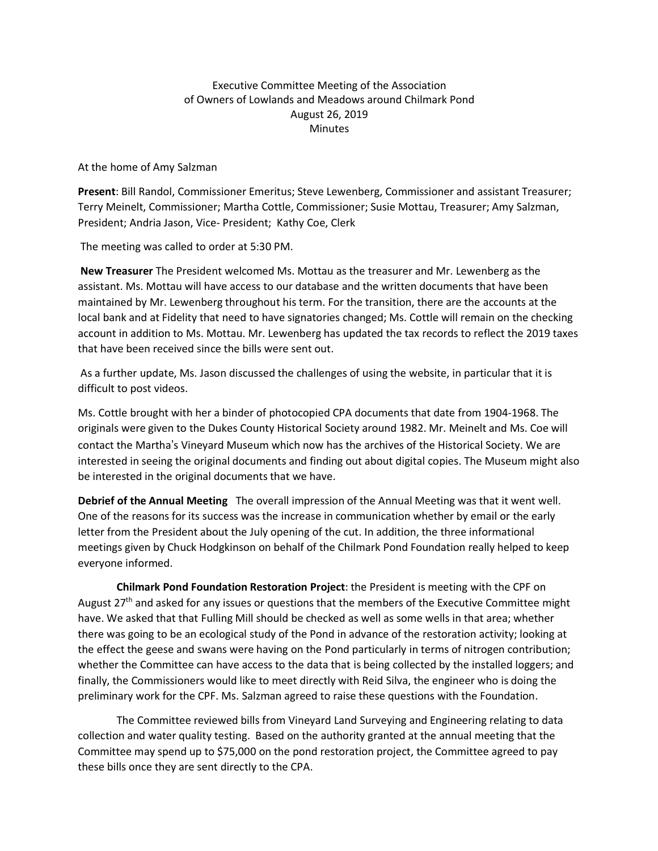## Executive Committee Meeting of the Association of Owners of Lowlands and Meadows around Chilmark Pond August 26, 2019 **Minutes**

At the home of Amy Salzman

**Present**: Bill Randol, Commissioner Emeritus; Steve Lewenberg, Commissioner and assistant Treasurer; Terry Meinelt, Commissioner; Martha Cottle, Commissioner; Susie Mottau, Treasurer; Amy Salzman, President; Andria Jason, Vice- President; Kathy Coe, Clerk

The meeting was called to order at 5:30 PM.

**New Treasurer** The President welcomed Ms. Mottau as the treasurer and Mr. Lewenberg as the assistant. Ms. Mottau will have access to our database and the written documents that have been maintained by Mr. Lewenberg throughout his term. For the transition, there are the accounts at the local bank and at Fidelity that need to have signatories changed; Ms. Cottle will remain on the checking account in addition to Ms. Mottau. Mr. Lewenberg has updated the tax records to reflect the 2019 taxes that have been received since the bills were sent out.

As a further update, Ms. Jason discussed the challenges of using the website, in particular that it is difficult to post videos.

Ms. Cottle brought with her a binder of photocopied CPA documents that date from 1904-1968. The originals were given to the Dukes County Historical Society around 1982. Mr. Meinelt and Ms. Coe will contact the Martha's Vineyard Museum which now has the archives of the Historical Society. We are interested in seeing the original documents and finding out about digital copies. The Museum might also be interested in the original documents that we have.

**Debrief of the Annual Meeting** The overall impression of the Annual Meeting was that it went well. One of the reasons for its success was the increase in communication whether by email or the early letter from the President about the July opening of the cut. In addition, the three informational meetings given by Chuck Hodgkinson on behalf of the Chilmark Pond Foundation really helped to keep everyone informed.

**Chilmark Pond Foundation Restoration Project**: the President is meeting with the CPF on August 27<sup>th</sup> and asked for any issues or questions that the members of the Executive Committee might have. We asked that that Fulling Mill should be checked as well as some wells in that area; whether there was going to be an ecological study of the Pond in advance of the restoration activity; looking at the effect the geese and swans were having on the Pond particularly in terms of nitrogen contribution; whether the Committee can have access to the data that is being collected by the installed loggers; and finally, the Commissioners would like to meet directly with Reid Silva, the engineer who is doing the preliminary work for the CPF. Ms. Salzman agreed to raise these questions with the Foundation.

The Committee reviewed bills from Vineyard Land Surveying and Engineering relating to data collection and water quality testing. Based on the authority granted at the annual meeting that the Committee may spend up to \$75,000 on the pond restoration project, the Committee agreed to pay these bills once they are sent directly to the CPA.